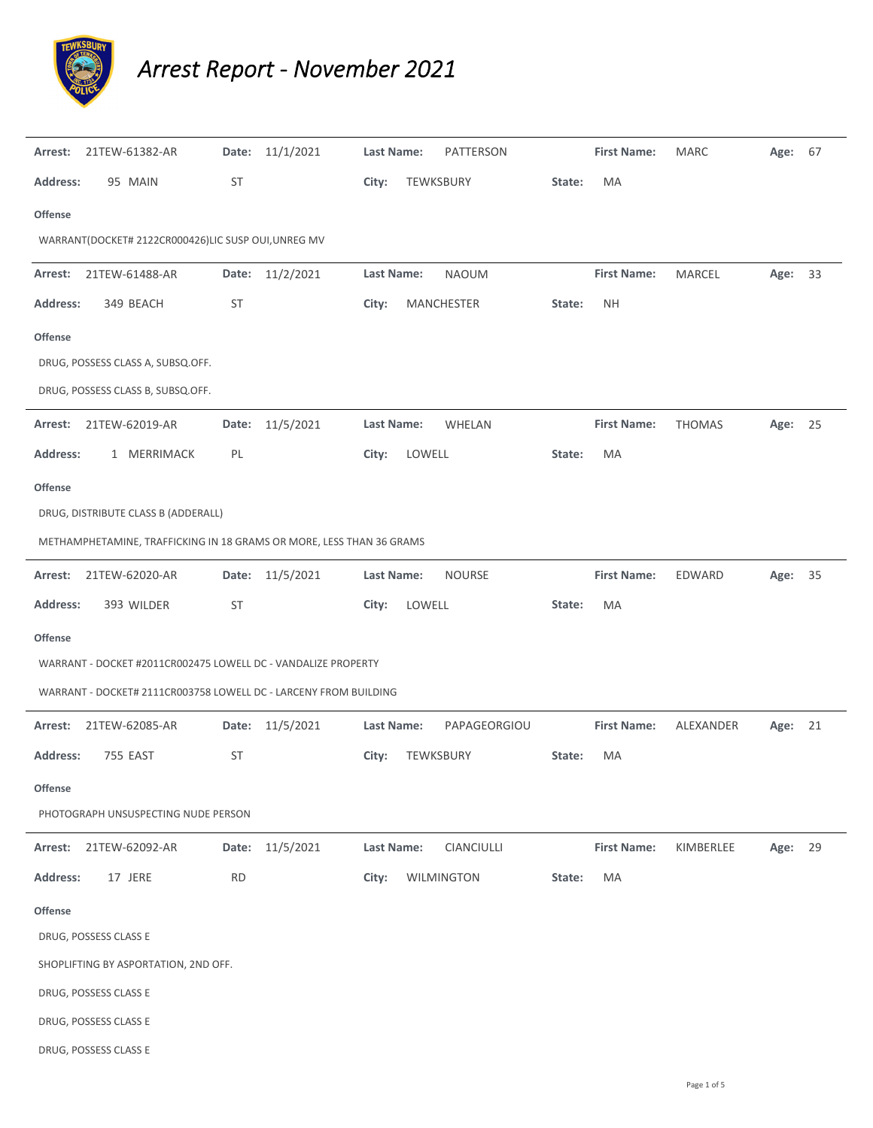

*Arrest Report ‐ November 2021*

| Arrest:                              | 21TEW-61382-AR                                                       | Date:     | 11/1/2021       | Last Name: |                  | <b>PATTERSON</b> |        | <b>First Name:</b> | <b>MARC</b>   | Age:    | 67 |  |  |  |
|--------------------------------------|----------------------------------------------------------------------|-----------|-----------------|------------|------------------|------------------|--------|--------------------|---------------|---------|----|--|--|--|
| <b>Address:</b>                      | 95 MAIN                                                              | ST        |                 | City:      | TEWKSBURY        |                  | State: | MA                 |               |         |    |  |  |  |
| <b>Offense</b>                       |                                                                      |           |                 |            |                  |                  |        |                    |               |         |    |  |  |  |
|                                      | WARRANT(DOCKET# 2122CR000426)LIC SUSP OUI, UNREG MV                  |           |                 |            |                  |                  |        |                    |               |         |    |  |  |  |
| Arrest:                              | 21TEW-61488-AR                                                       | Date:     | 11/2/2021       | Last Name: |                  | <b>NAOUM</b>     |        | <b>First Name:</b> | MARCEL        | Age:    | 33 |  |  |  |
| <b>Address:</b>                      | 349 BEACH                                                            | ST        |                 | City:      |                  | MANCHESTER       | State: | <b>NH</b>          |               |         |    |  |  |  |
| <b>Offense</b>                       |                                                                      |           |                 |            |                  |                  |        |                    |               |         |    |  |  |  |
|                                      | DRUG, POSSESS CLASS A, SUBSQ.OFF.                                    |           |                 |            |                  |                  |        |                    |               |         |    |  |  |  |
|                                      | DRUG, POSSESS CLASS B, SUBSQ.OFF.                                    |           |                 |            |                  |                  |        |                    |               |         |    |  |  |  |
| Arrest:                              | 21TEW-62019-AR                                                       | Date:     | 11/5/2021       | Last Name: |                  | WHELAN           |        | <b>First Name:</b> | <b>THOMAS</b> | Age:    | 25 |  |  |  |
| <b>Address:</b>                      | 1 MERRIMACK                                                          | PL        |                 | City:      | LOWELL           |                  | State: | MA                 |               |         |    |  |  |  |
| <b>Offense</b>                       |                                                                      |           |                 |            |                  |                  |        |                    |               |         |    |  |  |  |
|                                      | DRUG, DISTRIBUTE CLASS B (ADDERALL)                                  |           |                 |            |                  |                  |        |                    |               |         |    |  |  |  |
|                                      | METHAMPHETAMINE, TRAFFICKING IN 18 GRAMS OR MORE, LESS THAN 36 GRAMS |           |                 |            |                  |                  |        |                    |               |         |    |  |  |  |
| Arrest:                              | 21TEW-62020-AR                                                       | Date:     | 11/5/2021       | Last Name: |                  | <b>NOURSE</b>    |        | <b>First Name:</b> | EDWARD        | Age:    | 35 |  |  |  |
| <b>Address:</b>                      | 393 WILDER                                                           | ST        |                 | City:      | LOWELL           |                  | State: | MA                 |               |         |    |  |  |  |
| <b>Offense</b>                       |                                                                      |           |                 |            |                  |                  |        |                    |               |         |    |  |  |  |
|                                      | WARRANT - DOCKET #2011CR002475 LOWELL DC - VANDALIZE PROPERTY        |           |                 |            |                  |                  |        |                    |               |         |    |  |  |  |
|                                      | WARRANT - DOCKET# 2111CR003758 LOWELL DC - LARCENY FROM BUILDING     |           |                 |            |                  |                  |        |                    |               |         |    |  |  |  |
| Arrest:                              | 21TEW-62085-AR                                                       |           | Date: 11/5/2021 | Last Name: |                  | PAPAGEORGIOU     |        | <b>First Name:</b> | ALEXANDER     | Age: 21 |    |  |  |  |
| <b>Address:</b>                      | 755 EAST                                                             | ST        |                 | City:      | <b>TEWKSBURY</b> |                  | State: | MA                 |               |         |    |  |  |  |
| <b>Offense</b>                       |                                                                      |           |                 |            |                  |                  |        |                    |               |         |    |  |  |  |
|                                      | PHOTOGRAPH UNSUSPECTING NUDE PERSON                                  |           |                 |            |                  |                  |        |                    |               |         |    |  |  |  |
| Arrest:                              | 21TEW-62092-AR                                                       | Date:     | 11/5/2021       | Last Name: |                  | CIANCIULLI       |        | <b>First Name:</b> | KIMBERLEE     | Age: 29 |    |  |  |  |
| <b>Address:</b>                      | 17 JERE                                                              | <b>RD</b> |                 | City:      |                  | WILMINGTON       | State: | MA                 |               |         |    |  |  |  |
| <b>Offense</b>                       |                                                                      |           |                 |            |                  |                  |        |                    |               |         |    |  |  |  |
|                                      | DRUG, POSSESS CLASS E                                                |           |                 |            |                  |                  |        |                    |               |         |    |  |  |  |
| SHOPLIFTING BY ASPORTATION, 2ND OFF. |                                                                      |           |                 |            |                  |                  |        |                    |               |         |    |  |  |  |
|                                      | DRUG, POSSESS CLASS E                                                |           |                 |            |                  |                  |        |                    |               |         |    |  |  |  |
|                                      | DRUG, POSSESS CLASS E                                                |           |                 |            |                  |                  |        |                    |               |         |    |  |  |  |
|                                      | DRUG, POSSESS CLASS E                                                |           |                 |            |                  |                  |        |                    |               |         |    |  |  |  |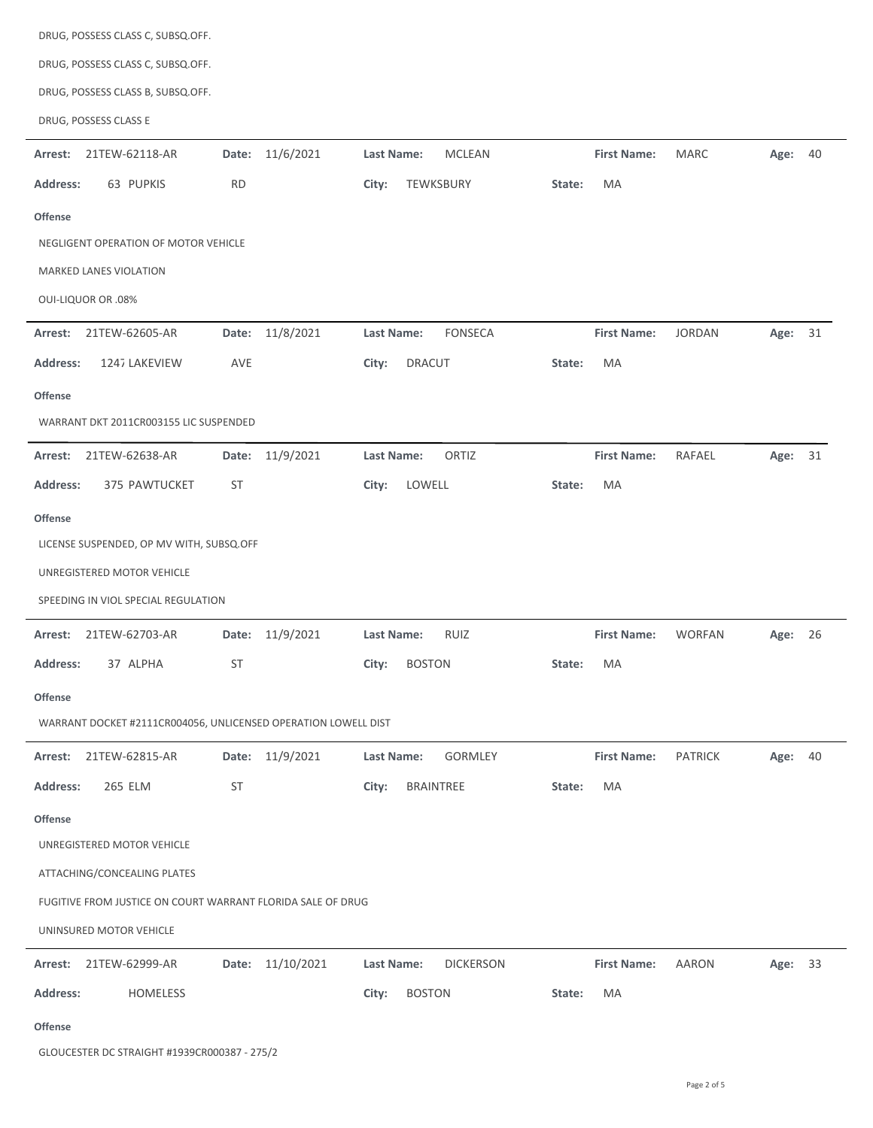| DRUG, POSSESS CLASS C, SUBSQ.OFF.                              |                     |                                |                                                   |
|----------------------------------------------------------------|---------------------|--------------------------------|---------------------------------------------------|
| DRUG, POSSESS CLASS C, SUBSQ.OFF.                              |                     |                                |                                                   |
| DRUG, POSSESS CLASS B, SUBSQ.OFF.                              |                     |                                |                                                   |
| DRUG, POSSESS CLASS E                                          |                     |                                |                                                   |
| 21TEW-62118-AR<br>Arrest:                                      | Date: 11/6/2021     | Last Name:<br><b>MCLEAN</b>    | <b>First Name:</b><br><b>MARC</b><br>Age: 40      |
| 63 PUPKIS<br><b>Address:</b>                                   | <b>RD</b>           | City:<br>TEWKSBURY             | MA<br>State:                                      |
| <b>Offense</b>                                                 |                     |                                |                                                   |
| NEGLIGENT OPERATION OF MOTOR VEHICLE                           |                     |                                |                                                   |
| MARKED LANES VIOLATION                                         |                     |                                |                                                   |
| <b>OUI-LIQUOR OR .08%</b>                                      |                     |                                |                                                   |
| 21TEW-62605-AR<br>Arrest:                                      | Date: 11/8/2021     | <b>FONSECA</b><br>Last Name:   | <b>First Name:</b><br><b>JORDAN</b><br>Age: 31    |
| <b>Address:</b><br>1247 LAKEVIEW                               | AVE                 | <b>DRACUT</b><br>City:         | MA<br>State:                                      |
| <b>Offense</b>                                                 |                     |                                |                                                   |
| WARRANT DKT 2011CR003155 LIC SUSPENDED                         |                     |                                |                                                   |
| Arrest:<br>21TEW-62638-AR                                      | Date: 11/9/2021     | ORTIZ<br>Last Name:            | <b>First Name:</b><br>RAFAEL<br>Age: 31           |
| <b>Address:</b><br>375 PAWTUCKET                               | ST                  | City:<br>LOWELL                | MA<br>State:                                      |
| <b>Offense</b>                                                 |                     |                                |                                                   |
| LICENSE SUSPENDED, OP MV WITH, SUBSQ.OFF                       |                     |                                |                                                   |
| UNREGISTERED MOTOR VEHICLE                                     |                     |                                |                                                   |
| SPEEDING IN VIOL SPECIAL REGULATION                            |                     |                                |                                                   |
| 21TEW-62703-AR<br>Arrest:                                      | Date: 11/9/2021     | Last Name:<br><b>RUIZ</b>      | <b>First Name:</b><br><b>WORFAN</b><br>Age:<br>26 |
| Address:<br>37 ALPHA                                           | ST                  | City:<br><b>BOSTON</b>         | State:<br>MA                                      |
| Offense                                                        |                     |                                |                                                   |
| WARRANT DOCKET #2111CR004056, UNLICENSED OPERATION LOWELL DIST |                     |                                |                                                   |
| Arrest: 21TEW-62815-AR                                         | Date: 11/9/2021     | Last Name:<br><b>GORMLEY</b>   | <b>First Name:</b><br><b>PATRICK</b><br>Age: 40   |
| 265 ELM<br><b>Address:</b>                                     | ST                  | City:<br>BRAINTREE             | MA<br>State:                                      |
| <b>Offense</b>                                                 |                     |                                |                                                   |
| UNREGISTERED MOTOR VEHICLE                                     |                     |                                |                                                   |
| ATTACHING/CONCEALING PLATES                                    |                     |                                |                                                   |
| FUGITIVE FROM JUSTICE ON COURT WARRANT FLORIDA SALE OF DRUG    |                     |                                |                                                   |
| UNINSURED MOTOR VEHICLE                                        |                     |                                |                                                   |
| 21TEW-62999-AR<br>Arrest:                                      | 11/10/2021<br>Date: | Last Name:<br><b>DICKERSON</b> | <b>First Name:</b><br><b>AARON</b><br>Age: 33     |
| <b>Address:</b><br>HOMELESS                                    |                     | City:<br><b>BOSTON</b>         | MA<br>State:                                      |
|                                                                |                     |                                |                                                   |

## **Offense**

GLOUCESTER DC STRAIGHT #1939CR000387 ‐ 275/2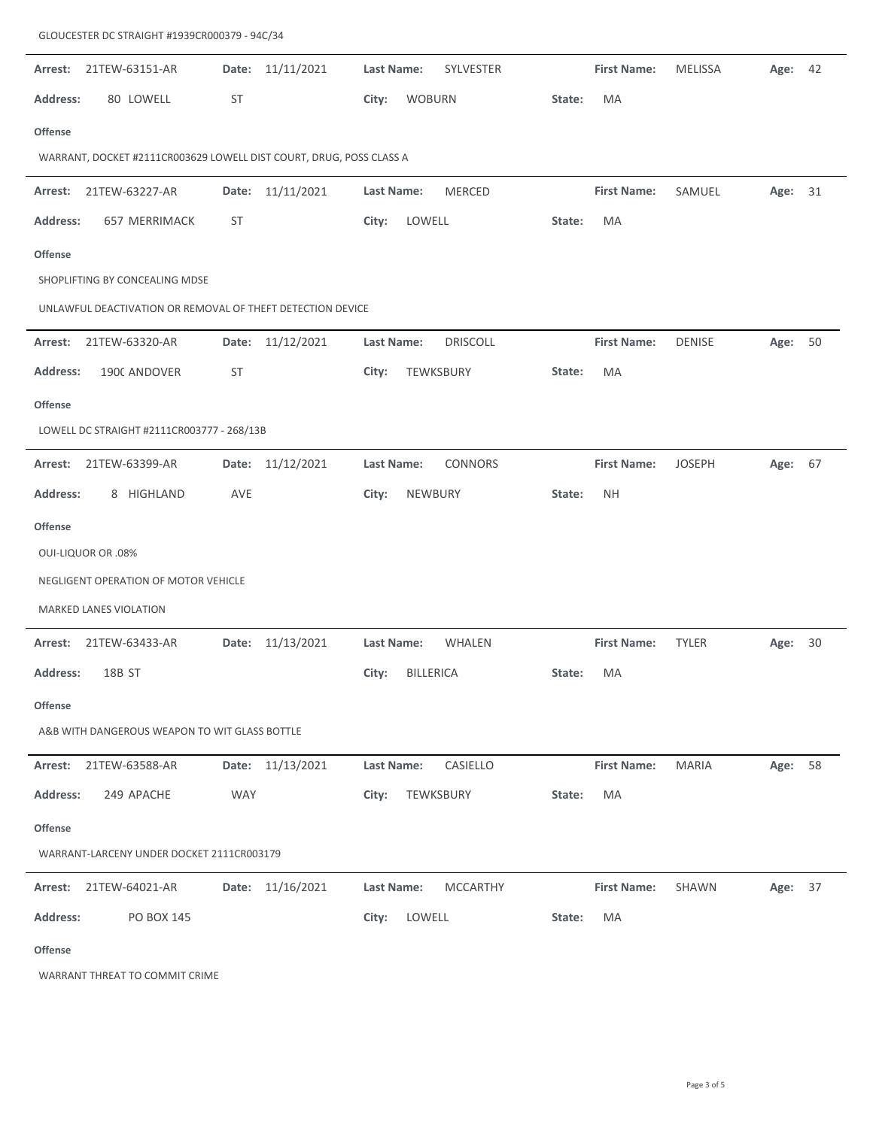| Arrest:                                                    | 21TEW-63151-AR                                                      | Date:      | 11/11/2021       | Last Name: |                  | SYLVESTER       |        | <b>First Name:</b> | <b>MELISSA</b> | Age:    | 42 |  |  |  |
|------------------------------------------------------------|---------------------------------------------------------------------|------------|------------------|------------|------------------|-----------------|--------|--------------------|----------------|---------|----|--|--|--|
| Address:                                                   | 80 LOWELL                                                           | <b>ST</b>  |                  | City:      | <b>WOBURN</b>    |                 | State: | MA                 |                |         |    |  |  |  |
| Offense                                                    |                                                                     |            |                  |            |                  |                 |        |                    |                |         |    |  |  |  |
|                                                            | WARRANT, DOCKET #2111CR003629 LOWELL DIST COURT, DRUG, POSS CLASS A |            |                  |            |                  |                 |        |                    |                |         |    |  |  |  |
| Arrest:                                                    | 21TEW-63227-AR                                                      | Date:      | 11/11/2021       | Last Name: |                  | MERCED          |        | <b>First Name:</b> | SAMUEL         | Age:    | 31 |  |  |  |
| <b>Address:</b>                                            | 657 MERRIMACK                                                       | <b>ST</b>  |                  | City:      | LOWELL           |                 | State: | MA                 |                |         |    |  |  |  |
| <b>Offense</b>                                             |                                                                     |            |                  |            |                  |                 |        |                    |                |         |    |  |  |  |
|                                                            | SHOPLIFTING BY CONCEALING MDSE                                      |            |                  |            |                  |                 |        |                    |                |         |    |  |  |  |
| UNLAWFUL DEACTIVATION OR REMOVAL OF THEFT DETECTION DEVICE |                                                                     |            |                  |            |                  |                 |        |                    |                |         |    |  |  |  |
| Arrest:                                                    | 21TEW-63320-AR                                                      | Date:      | 11/12/2021       | Last Name: |                  | <b>DRISCOLL</b> |        | <b>First Name:</b> | <b>DENISE</b>  | Age:    | 50 |  |  |  |
| <b>Address:</b>                                            | 1900 ANDOVER                                                        | <b>ST</b>  |                  | City:      | TEWKSBURY        |                 | State: | MA                 |                |         |    |  |  |  |
| <b>Offense</b>                                             |                                                                     |            |                  |            |                  |                 |        |                    |                |         |    |  |  |  |
|                                                            | LOWELL DC STRAIGHT #2111CR003777 - 268/13B                          |            |                  |            |                  |                 |        |                    |                |         |    |  |  |  |
| Arrest:                                                    | 21TEW-63399-AR                                                      |            | Date: 11/12/2021 | Last Name: |                  | CONNORS         |        | <b>First Name:</b> | <b>JOSEPH</b>  | Age: 67 |    |  |  |  |
| <b>Address:</b>                                            | 8 HIGHLAND                                                          | AVE        |                  | City:      | NEWBURY          |                 | State: | <b>NH</b>          |                |         |    |  |  |  |
| <b>Offense</b>                                             |                                                                     |            |                  |            |                  |                 |        |                    |                |         |    |  |  |  |
|                                                            | <b>OUI-LIQUOR OR .08%</b>                                           |            |                  |            |                  |                 |        |                    |                |         |    |  |  |  |
|                                                            | NEGLIGENT OPERATION OF MOTOR VEHICLE                                |            |                  |            |                  |                 |        |                    |                |         |    |  |  |  |
|                                                            | MARKED LANES VIOLATION                                              |            |                  |            |                  |                 |        |                    |                |         |    |  |  |  |
| Arrest:                                                    | 21TEW-63433-AR                                                      |            | Date: 11/13/2021 | Last Name: |                  | WHALEN          |        | <b>First Name:</b> | <b>TYLER</b>   | Age:    | 30 |  |  |  |
| <b>Address:</b>                                            | 18B ST                                                              |            |                  | City:      | <b>BILLERICA</b> |                 | State: | МA                 |                |         |    |  |  |  |
| <b>Offense</b>                                             |                                                                     |            |                  |            |                  |                 |        |                    |                |         |    |  |  |  |
|                                                            | A&B WITH DANGEROUS WEAPON TO WIT GLASS BOTTLE                       |            |                  |            |                  |                 |        |                    |                |         |    |  |  |  |
| Arrest:                                                    | 21TEW-63588-AR                                                      |            | Date: 11/13/2021 | Last Name: |                  | CASIELLO        |        | <b>First Name:</b> | <b>MARIA</b>   | Age:    | 58 |  |  |  |
| Address:                                                   | 249 APACHE                                                          | <b>WAY</b> |                  | City:      | TEWKSBURY        |                 | State: | MA                 |                |         |    |  |  |  |
| <b>Offense</b>                                             |                                                                     |            |                  |            |                  |                 |        |                    |                |         |    |  |  |  |
| WARRANT-LARCENY UNDER DOCKET 2111CR003179                  |                                                                     |            |                  |            |                  |                 |        |                    |                |         |    |  |  |  |
| Arrest:                                                    | 21TEW-64021-AR                                                      |            | Date: 11/16/2021 | Last Name: |                  | <b>MCCARTHY</b> |        | <b>First Name:</b> | SHAWN          | Age: 37 |    |  |  |  |
| <b>Address:</b>                                            | PO BOX 145                                                          |            |                  | City:      | LOWELL           |                 | State: | MA                 |                |         |    |  |  |  |
| <b>Offense</b>                                             |                                                                     |            |                  |            |                  |                 |        |                    |                |         |    |  |  |  |

WARRANT THREAT TO COMMIT CRIME

GLOUCESTER DC STRAIGHT #1939CR000379 ‐ 94C/34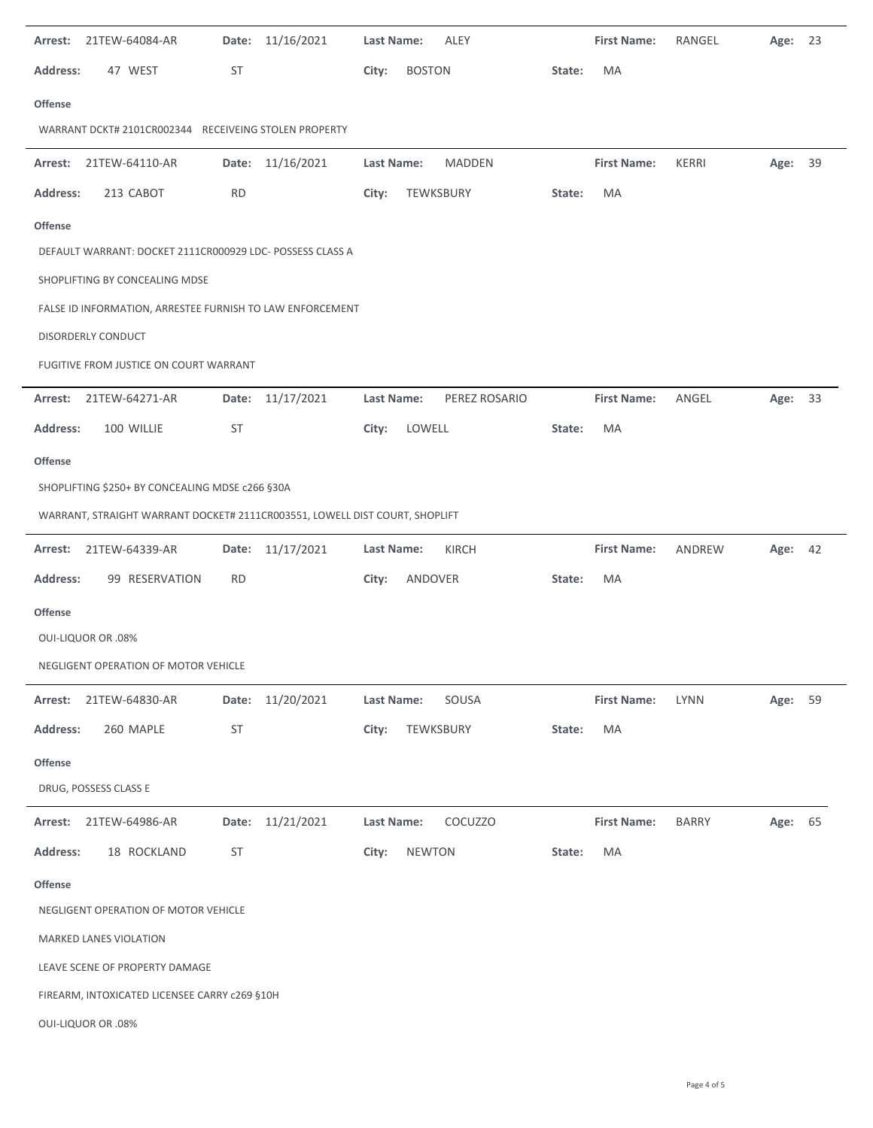| 47 WEST<br>ST<br>City:<br><b>BOSTON</b><br>MA<br><b>Address:</b><br>State:<br>Offense                               | Age:    | 23 |  |  |  |  |  |  |  |  |  |  |  |
|---------------------------------------------------------------------------------------------------------------------|---------|----|--|--|--|--|--|--|--|--|--|--|--|
|                                                                                                                     |         |    |  |  |  |  |  |  |  |  |  |  |  |
|                                                                                                                     |         |    |  |  |  |  |  |  |  |  |  |  |  |
| WARRANT DCKT# 2101CR002344 RECEIVEING STOLEN PROPERTY                                                               |         |    |  |  |  |  |  |  |  |  |  |  |  |
| Date: 11/16/2021<br><b>MADDEN</b><br>Arrest: 21TEW-64110-AR<br>Last Name:<br><b>First Name:</b><br>KERRI            | Age:    | 39 |  |  |  |  |  |  |  |  |  |  |  |
| <b>RD</b><br><b>Address:</b><br>213 CABOT<br>City:<br>TEWKSBURY<br>State:<br>MA                                     |         |    |  |  |  |  |  |  |  |  |  |  |  |
| <b>Offense</b>                                                                                                      |         |    |  |  |  |  |  |  |  |  |  |  |  |
| DEFAULT WARRANT: DOCKET 2111CR000929 LDC- POSSESS CLASS A                                                           |         |    |  |  |  |  |  |  |  |  |  |  |  |
| SHOPLIFTING BY CONCEALING MDSE                                                                                      |         |    |  |  |  |  |  |  |  |  |  |  |  |
| FALSE ID INFORMATION, ARRESTEE FURNISH TO LAW ENFORCEMENT                                                           |         |    |  |  |  |  |  |  |  |  |  |  |  |
| DISORDERLY CONDUCT                                                                                                  |         |    |  |  |  |  |  |  |  |  |  |  |  |
| FUGITIVE FROM JUSTICE ON COURT WARRANT                                                                              |         |    |  |  |  |  |  |  |  |  |  |  |  |
| 21TEW-64271-AR<br>Date: 11/17/2021<br>Last Name:<br>PEREZ ROSARIO<br><b>First Name:</b><br>ANGEL<br>Arrest:         | Age: 33 |    |  |  |  |  |  |  |  |  |  |  |  |
| <b>Address:</b><br>100 WILLIE<br>ST<br>City:<br>LOWELL<br>MA<br>State:                                              |         |    |  |  |  |  |  |  |  |  |  |  |  |
| Offense                                                                                                             |         |    |  |  |  |  |  |  |  |  |  |  |  |
| SHOPLIFTING \$250+ BY CONCEALING MDSE c266 §30A                                                                     |         |    |  |  |  |  |  |  |  |  |  |  |  |
| WARRANT, STRAIGHT WARRANT DOCKET# 2111CR003551, LOWELL DIST COURT, SHOPLIFT                                         |         |    |  |  |  |  |  |  |  |  |  |  |  |
| 21TEW-64339-AR<br>Date: 11/17/2021<br>KIRCH<br><b>First Name:</b><br>ANDREW<br>Last Name:<br>Arrest:                | Age: 42 |    |  |  |  |  |  |  |  |  |  |  |  |
| 99 RESERVATION<br><b>RD</b><br>ANDOVER<br>MA<br><b>Address:</b><br>City:<br>State:                                  |         |    |  |  |  |  |  |  |  |  |  |  |  |
| Offense                                                                                                             |         |    |  |  |  |  |  |  |  |  |  |  |  |
| <b>OUI-LIQUOR OR .08%</b>                                                                                           |         |    |  |  |  |  |  |  |  |  |  |  |  |
| NEGLIGENT OPERATION OF MOTOR VEHICLE                                                                                |         |    |  |  |  |  |  |  |  |  |  |  |  |
| 11/20/2021<br>21TEW-64830-AR<br><b>Last Name:</b><br>SOUSA<br><b>First Name:</b><br><b>LYNN</b><br>Arrest:<br>Date: | Age:    | 59 |  |  |  |  |  |  |  |  |  |  |  |
| 260 MAPLE<br><b>Address:</b><br>ST<br>City:<br>TEWKSBURY<br>MA<br>State:                                            |         |    |  |  |  |  |  |  |  |  |  |  |  |
| <b>Offense</b>                                                                                                      |         |    |  |  |  |  |  |  |  |  |  |  |  |
| DRUG, POSSESS CLASS E                                                                                               |         |    |  |  |  |  |  |  |  |  |  |  |  |
| Date: 11/21/2021<br>COCUZZO<br>Last Name:<br><b>First Name:</b><br><b>BARRY</b><br>Arrest: 21TEW-64986-AR           | Age:    | 65 |  |  |  |  |  |  |  |  |  |  |  |
|                                                                                                                     |         |    |  |  |  |  |  |  |  |  |  |  |  |
| 18 ROCKLAND<br>ST<br><b>NEWTON</b><br>MA<br><b>Address:</b><br>City:<br>State:                                      |         |    |  |  |  |  |  |  |  |  |  |  |  |
| <b>Offense</b>                                                                                                      |         |    |  |  |  |  |  |  |  |  |  |  |  |
| NEGLIGENT OPERATION OF MOTOR VEHICLE                                                                                |         |    |  |  |  |  |  |  |  |  |  |  |  |
| MARKED LANES VIOLATION                                                                                              |         |    |  |  |  |  |  |  |  |  |  |  |  |
| LEAVE SCENE OF PROPERTY DAMAGE                                                                                      |         |    |  |  |  |  |  |  |  |  |  |  |  |
| FIREARM, INTOXICATED LICENSEE CARRY c269 §10H                                                                       |         |    |  |  |  |  |  |  |  |  |  |  |  |

L,